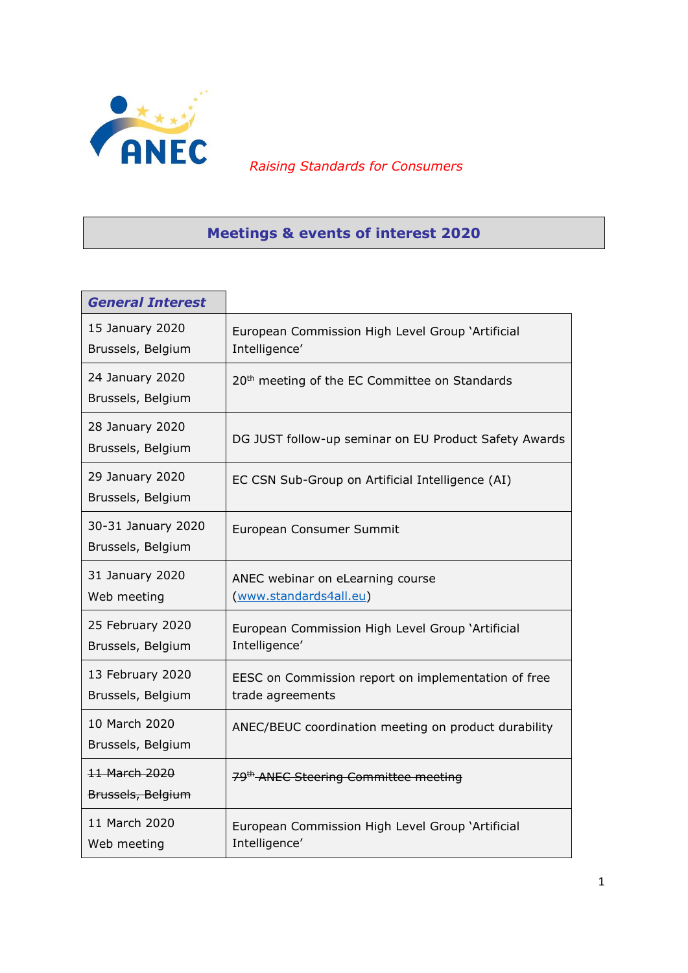

*Raising Standards for Consumers*

## **Meetings & events of interest 2020**

| <b>General Interest</b>                       |                                                                         |
|-----------------------------------------------|-------------------------------------------------------------------------|
| 15 January 2020<br>Brussels, Belgium          | European Commission High Level Group 'Artificial<br>Intelligence'       |
| 24 January 2020<br>Brussels, Belgium          | 20 <sup>th</sup> meeting of the EC Committee on Standards               |
| 28 January 2020<br>Brussels, Belgium          | DG JUST follow-up seminar on EU Product Safety Awards                   |
| 29 January 2020<br>Brussels, Belgium          | EC CSN Sub-Group on Artificial Intelligence (AI)                        |
| 30-31 January 2020<br>Brussels, Belgium       | European Consumer Summit                                                |
| 31 January 2020<br>Web meeting                | ANEC webinar on eLearning course<br>(www.standards4all.eu)              |
| 25 February 2020<br>Brussels, Belgium         | European Commission High Level Group 'Artificial<br>Intelligence'       |
| 13 February 2020<br>Brussels, Belgium         | EESC on Commission report on implementation of free<br>trade agreements |
| 10 March 2020<br>Brussels, Belgium            | ANEC/BEUC coordination meeting on product durability                    |
| <del>11 March 2020</del><br>Brussels, Belgium | 79 <sup>th</sup> ANEC Steering Committee meeting                        |
| 11 March 2020<br>Web meeting                  | European Commission High Level Group 'Artificial<br>Intelligence'       |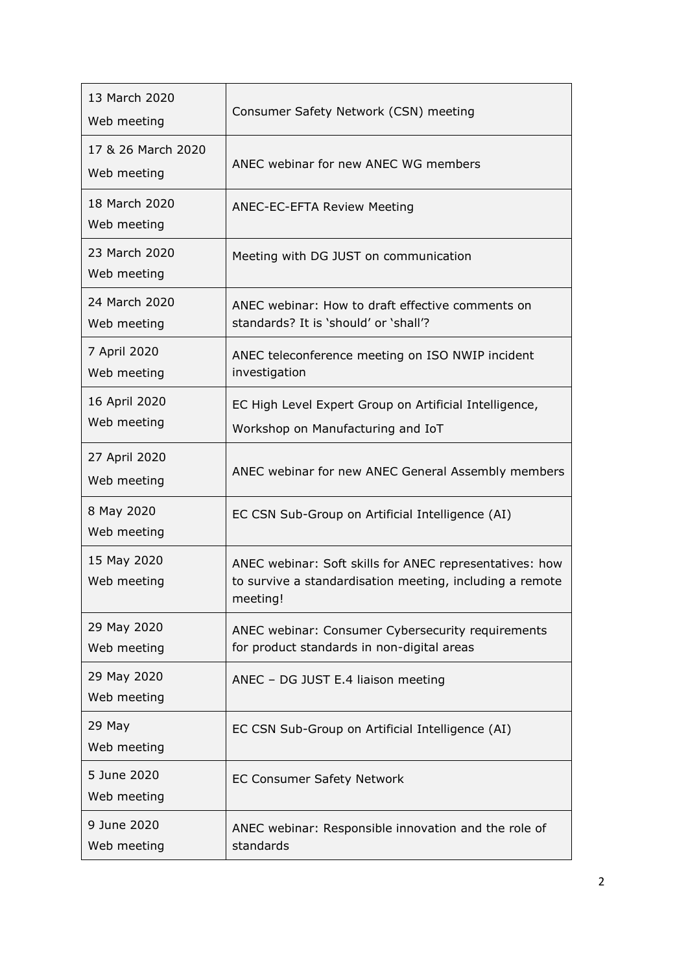| 13 March 2020<br>Web meeting      | Consumer Safety Network (CSN) meeting                                                                                           |
|-----------------------------------|---------------------------------------------------------------------------------------------------------------------------------|
| 17 & 26 March 2020<br>Web meeting | ANEC webinar for new ANEC WG members                                                                                            |
| 18 March 2020<br>Web meeting      | <b>ANEC-EC-EFTA Review Meeting</b>                                                                                              |
| 23 March 2020<br>Web meeting      | Meeting with DG JUST on communication                                                                                           |
| 24 March 2020<br>Web meeting      | ANEC webinar: How to draft effective comments on<br>standards? It is 'should' or 'shall'?                                       |
| 7 April 2020<br>Web meeting       | ANEC teleconference meeting on ISO NWIP incident<br>investigation                                                               |
| 16 April 2020<br>Web meeting      | EC High Level Expert Group on Artificial Intelligence,<br>Workshop on Manufacturing and IoT                                     |
| 27 April 2020<br>Web meeting      | ANEC webinar for new ANEC General Assembly members                                                                              |
| 8 May 2020<br>Web meeting         | EC CSN Sub-Group on Artificial Intelligence (AI)                                                                                |
| 15 May 2020<br>Web meeting        | ANEC webinar: Soft skills for ANEC representatives: how<br>to survive a standardisation meeting, including a remote<br>meeting! |
| 29 May 2020<br>Web meeting        | ANEC webinar: Consumer Cybersecurity requirements<br>for product standards in non-digital areas                                 |
| 29 May 2020<br>Web meeting        | ANEC - DG JUST E.4 liaison meeting                                                                                              |
| 29 May<br>Web meeting             | EC CSN Sub-Group on Artificial Intelligence (AI)                                                                                |
| 5 June 2020<br>Web meeting        | <b>EC Consumer Safety Network</b>                                                                                               |
| 9 June 2020<br>Web meeting        | ANEC webinar: Responsible innovation and the role of<br>standards                                                               |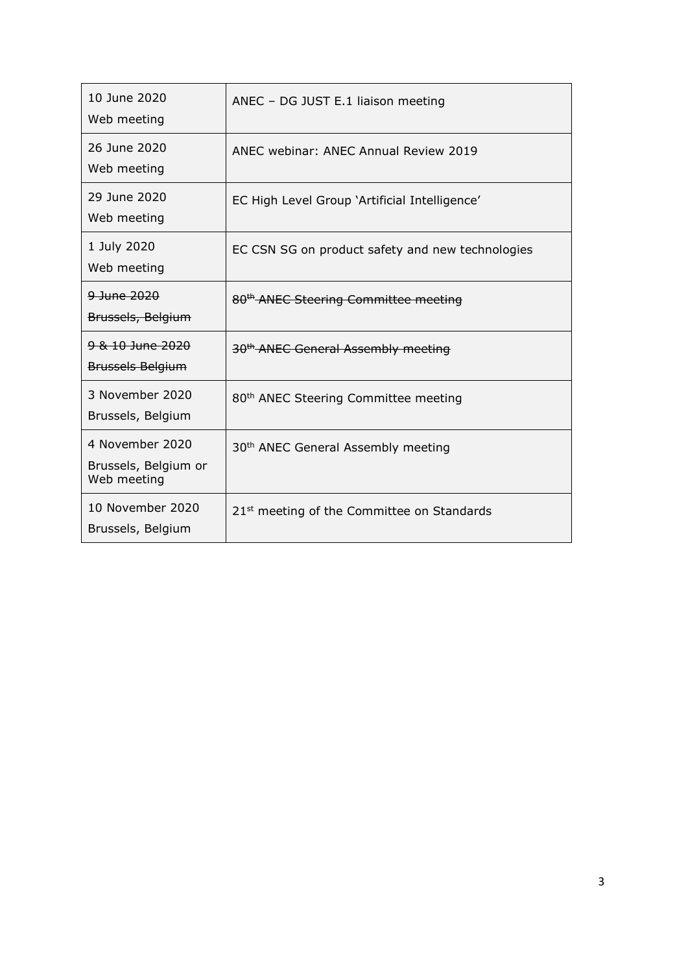| 10 June 2020<br>Web meeting                            | ANEC - DG JUST E.1 liaison meeting                     |
|--------------------------------------------------------|--------------------------------------------------------|
| 26 June 2020<br>Web meeting                            | ANEC webinar: ANEC Annual Review 2019                  |
| 29 June 2020<br>Web meeting                            | EC High Level Group 'Artificial Intelligence'          |
| 1 July 2020<br>Web meeting                             | EC CSN SG on product safety and new technologies       |
| 9 June 2020<br>Brussels, Belgium                       | 80 <sup>th</sup> ANEC Steering Committee meeting       |
| 9 & 10 June 2020<br><b>Brussels Belgium</b>            | 30 <sup>th</sup> ANEC General Assembly meeting         |
| 3 November 2020<br>Brussels, Belgium                   | 80 <sup>th</sup> ANEC Steering Committee meeting       |
| 4 November 2020<br>Brussels, Belgium or<br>Web meeting | 30 <sup>th</sup> ANEC General Assembly meeting         |
| 10 November 2020<br>Brussels, Belgium                  | 21 <sup>st</sup> meeting of the Committee on Standards |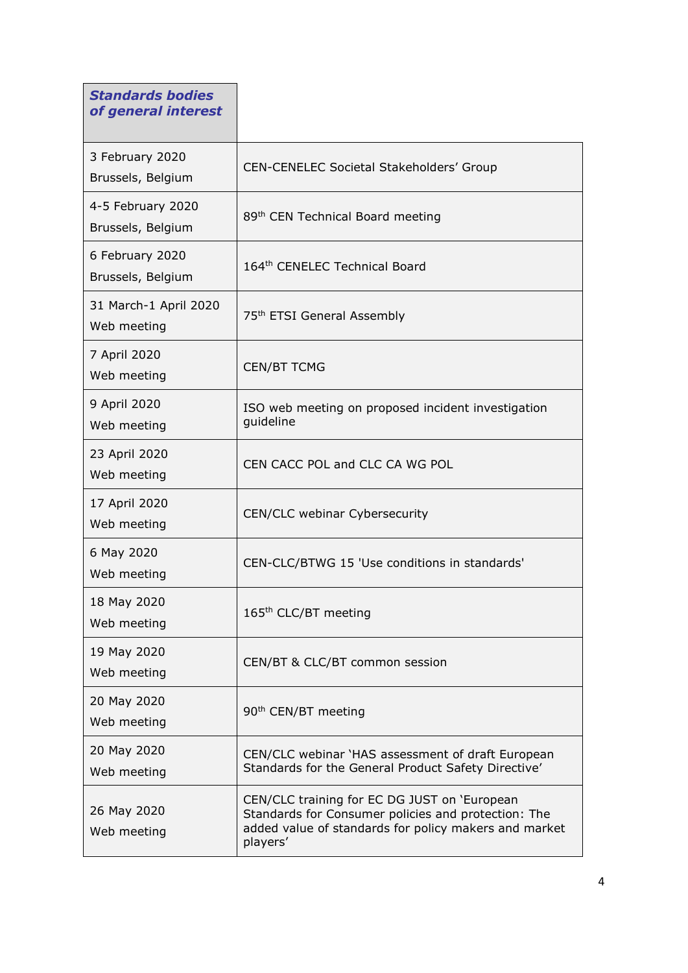| <b>Standards bodies</b><br>of general interest |                                                                                                                                                                          |
|------------------------------------------------|--------------------------------------------------------------------------------------------------------------------------------------------------------------------------|
| 3 February 2020<br>Brussels, Belgium           | CEN-CENELEC Societal Stakeholders' Group                                                                                                                                 |
| 4-5 February 2020<br>Brussels, Belgium         | 89th CEN Technical Board meeting                                                                                                                                         |
| 6 February 2020<br>Brussels, Belgium           | 164th CENELEC Technical Board                                                                                                                                            |
| 31 March-1 April 2020<br>Web meeting           | 75 <sup>th</sup> ETSI General Assembly                                                                                                                                   |
| 7 April 2020<br>Web meeting                    | <b>CEN/BT TCMG</b>                                                                                                                                                       |
| 9 April 2020<br>Web meeting                    | ISO web meeting on proposed incident investigation<br>guideline                                                                                                          |
| 23 April 2020<br>Web meeting                   | CEN CACC POL and CLC CA WG POL                                                                                                                                           |
| 17 April 2020<br>Web meeting                   | CEN/CLC webinar Cybersecurity                                                                                                                                            |
| 6 May 2020<br>Web meeting                      | CEN-CLC/BTWG 15 'Use conditions in standards'                                                                                                                            |
| 18 May 2020<br>Web meeting                     | 165 <sup>th</sup> CLC/BT meeting                                                                                                                                         |
| 19 May 2020<br>Web meeting                     | CEN/BT & CLC/BT common session                                                                                                                                           |
| 20 May 2020<br>Web meeting                     | 90 <sup>th</sup> CEN/BT meeting                                                                                                                                          |
| 20 May 2020<br>Web meeting                     | CEN/CLC webinar `HAS assessment of draft European<br>Standards for the General Product Safety Directive'                                                                 |
| 26 May 2020<br>Web meeting                     | CEN/CLC training for EC DG JUST on 'European<br>Standards for Consumer policies and protection: The<br>added value of standards for policy makers and market<br>players' |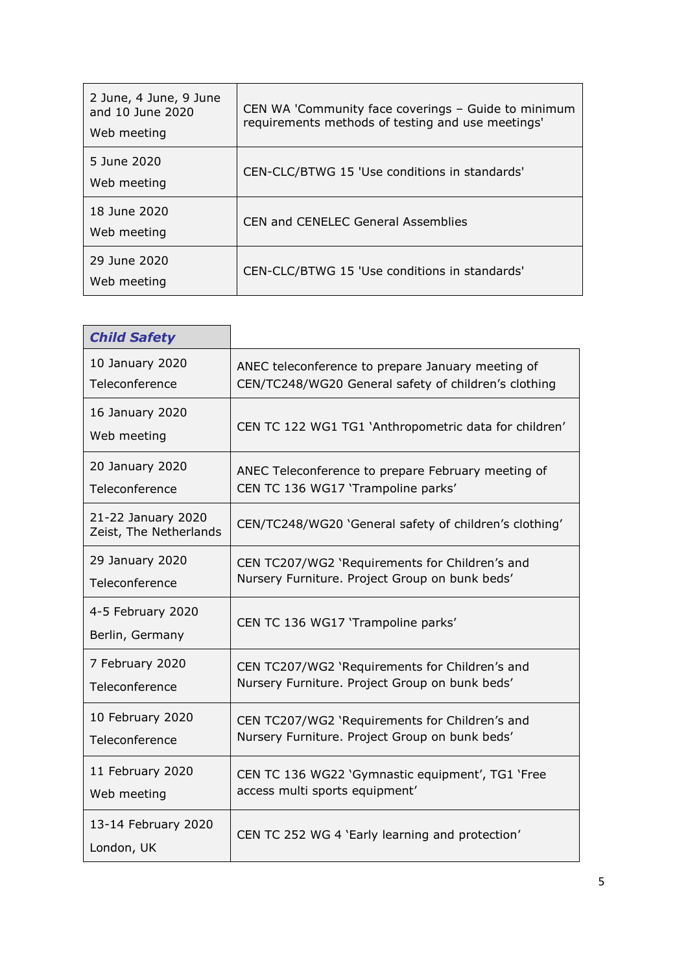| 2 June, 4 June, 9 June<br>and 10 June 2020<br>Web meeting | CEN WA 'Community face coverings - Guide to minimum<br>requirements methods of testing and use meetings' |
|-----------------------------------------------------------|----------------------------------------------------------------------------------------------------------|
| 5 June 2020<br>Web meeting                                | CEN-CLC/BTWG 15 'Use conditions in standards'                                                            |
| 18 June 2020<br>Web meeting                               | <b>CEN and CENELEC General Assemblies</b>                                                                |
| 29 June 2020<br>Web meeting                               | CEN-CLC/BTWG 15 'Use conditions in standards'                                                            |

| <b>Child Safety</b>                          |                                                        |
|----------------------------------------------|--------------------------------------------------------|
| 10 January 2020                              | ANEC teleconference to prepare January meeting of      |
| Teleconference                               | CEN/TC248/WG20 General safety of children's clothing   |
| 16 January 2020<br>Web meeting               | CEN TC 122 WG1 TG1 'Anthropometric data for children'  |
| 20 January 2020                              | ANEC Teleconference to prepare February meeting of     |
| Teleconference                               | CEN TC 136 WG17 'Trampoline parks'                     |
| 21-22 January 2020<br>Zeist, The Netherlands | CEN/TC248/WG20 'General safety of children's clothing' |
| 29 January 2020                              | CEN TC207/WG2 'Requirements for Children's and         |
| Teleconference                               | Nursery Furniture. Project Group on bunk beds'         |
| 4-5 February 2020<br>Berlin, Germany         | CEN TC 136 WG17 'Trampoline parks'                     |
| 7 February 2020                              | CEN TC207/WG2 'Requirements for Children's and         |
| Teleconference                               | Nursery Furniture. Project Group on bunk beds'         |
| 10 February 2020                             | CEN TC207/WG2 'Requirements for Children's and         |
| Teleconference                               | Nursery Furniture. Project Group on bunk beds'         |
| 11 February 2020                             | CEN TC 136 WG22 'Gymnastic equipment', TG1 'Free       |
| Web meeting                                  | access multi sports equipment'                         |
| 13-14 February 2020<br>London, UK            | CEN TC 252 WG 4 'Early learning and protection'        |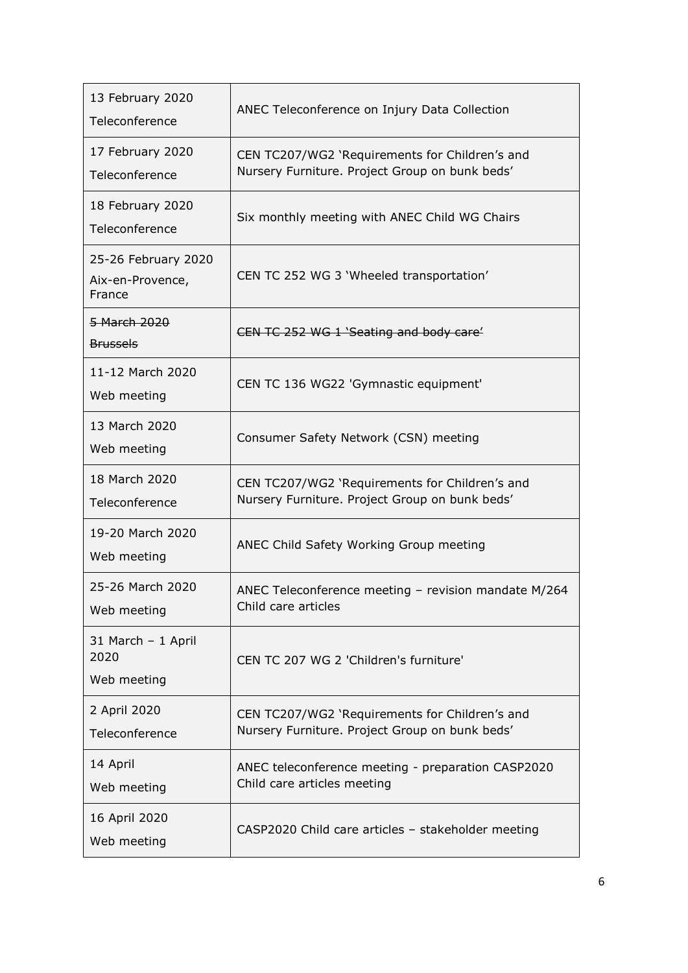| 13 February 2020<br>Teleconference                | ANEC Teleconference on Injury Data Collection                                                    |
|---------------------------------------------------|--------------------------------------------------------------------------------------------------|
| 17 February 2020<br>Teleconference                | CEN TC207/WG2 'Requirements for Children's and<br>Nursery Furniture. Project Group on bunk beds' |
| 18 February 2020<br>Teleconference                | Six monthly meeting with ANEC Child WG Chairs                                                    |
| 25-26 February 2020<br>Aix-en-Provence,<br>France | CEN TC 252 WG 3 'Wheeled transportation'                                                         |
| 5 March 2020<br><b>Brussels</b>                   | CEN TC 252 WG 1 'Seating and body care'                                                          |
| 11-12 March 2020<br>Web meeting                   | CEN TC 136 WG22 'Gymnastic equipment'                                                            |
| 13 March 2020<br>Web meeting                      | Consumer Safety Network (CSN) meeting                                                            |
| 18 March 2020<br>Teleconference                   | CEN TC207/WG2 'Requirements for Children's and<br>Nursery Furniture. Project Group on bunk beds' |
| 19-20 March 2020<br>Web meeting                   | ANEC Child Safety Working Group meeting                                                          |
| 25-26 March 2020<br>Web meeting                   | ANEC Teleconference meeting - revision mandate M/264<br>Child care articles                      |
| 31 March - 1 April<br>2020<br>Web meeting         | CEN TC 207 WG 2 'Children's furniture'                                                           |
| 2 April 2020<br>Teleconference                    | CEN TC207/WG2 'Requirements for Children's and<br>Nursery Furniture. Project Group on bunk beds' |
| 14 April<br>Web meeting                           | ANEC teleconference meeting - preparation CASP2020<br>Child care articles meeting                |
| 16 April 2020<br>Web meeting                      | CASP2020 Child care articles - stakeholder meeting                                               |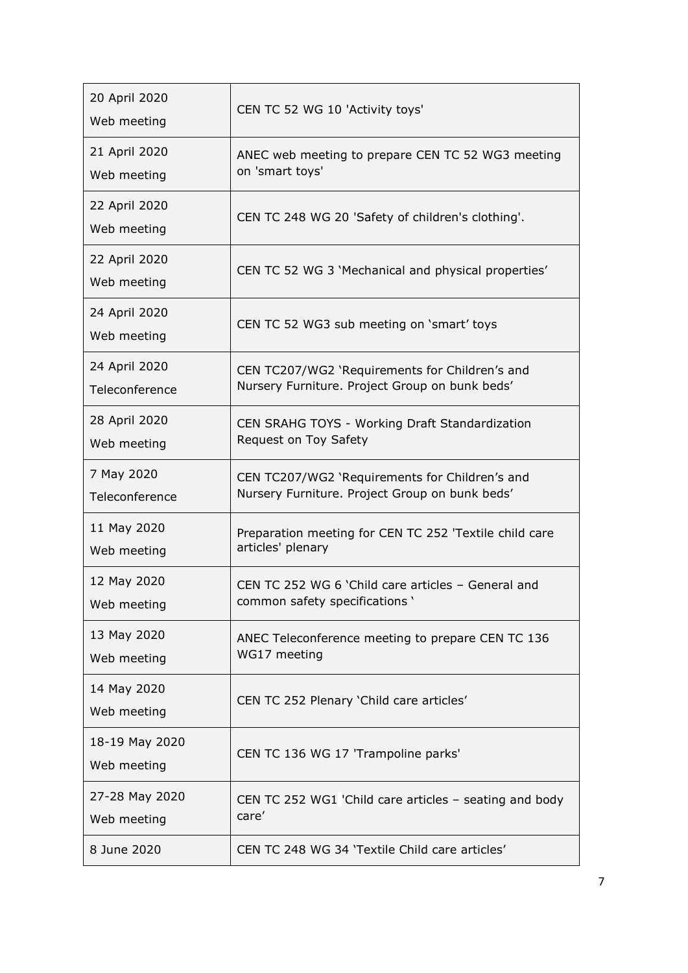| 20 April 2020<br>Web meeting  | CEN TC 52 WG 10 'Activity toys'                        |
|-------------------------------|--------------------------------------------------------|
| 21 April 2020                 | ANEC web meeting to prepare CEN TC 52 WG3 meeting      |
| Web meeting                   | on 'smart toys'                                        |
| 22 April 2020<br>Web meeting  | CEN TC 248 WG 20 'Safety of children's clothing'.      |
| 22 April 2020<br>Web meeting  | CEN TC 52 WG 3 'Mechanical and physical properties'    |
| 24 April 2020<br>Web meeting  | CEN TC 52 WG3 sub meeting on 'smart' toys              |
| 24 April 2020                 | CEN TC207/WG2 'Requirements for Children's and         |
| Teleconference                | Nursery Furniture. Project Group on bunk beds'         |
| 28 April 2020                 | CEN SRAHG TOYS - Working Draft Standardization         |
| Web meeting                   | Request on Toy Safety                                  |
| 7 May 2020                    | CEN TC207/WG2 'Requirements for Children's and         |
| Teleconference                | Nursery Furniture. Project Group on bunk beds'         |
| 11 May 2020                   | Preparation meeting for CEN TC 252 'Textile child care |
| Web meeting                   | articles' plenary                                      |
| 12 May 2020                   | CEN TC 252 WG 6 'Child care articles - General and     |
| Web meeting                   | common safety specifications '                         |
| 13 May 2020                   | ANEC Teleconference meeting to prepare CEN TC 136      |
| Web meeting                   | WG17 meeting                                           |
| 14 May 2020<br>Web meeting    | CEN TC 252 Plenary 'Child care articles'               |
| 18-19 May 2020<br>Web meeting | CEN TC 136 WG 17 'Trampoline parks'                    |
| 27-28 May 2020                | CEN TC 252 WG1 'Child care articles - seating and body |
| Web meeting                   | care'                                                  |
| 8 June 2020                   | CEN TC 248 WG 34 'Textile Child care articles'         |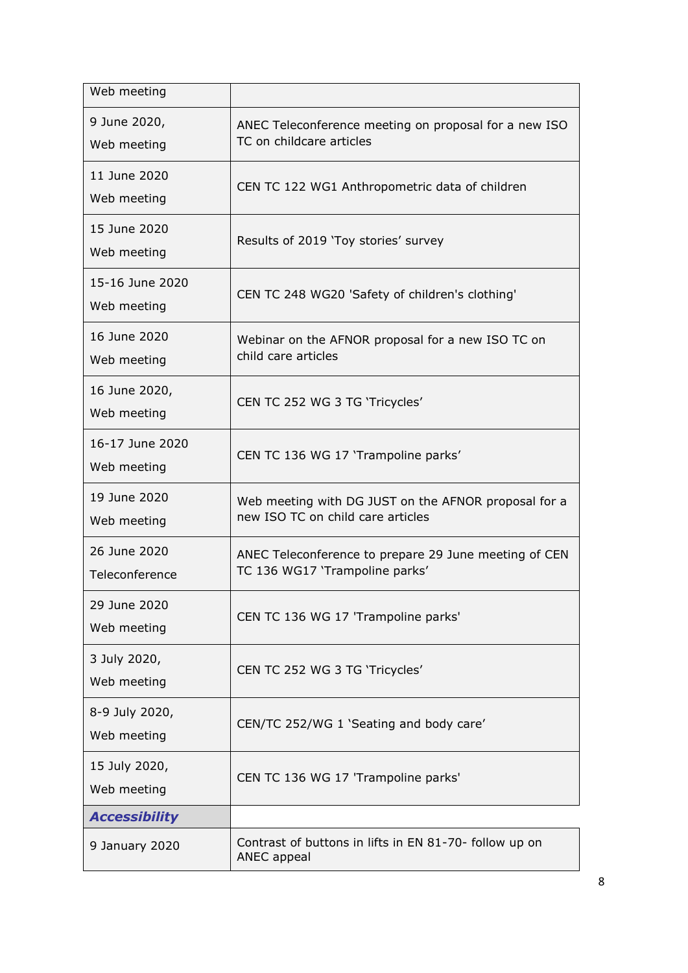| Web meeting                    |                                                                                           |
|--------------------------------|-------------------------------------------------------------------------------------------|
| 9 June 2020,<br>Web meeting    | ANEC Teleconference meeting on proposal for a new ISO<br>TC on childcare articles         |
| 11 June 2020<br>Web meeting    | CEN TC 122 WG1 Anthropometric data of children                                            |
| 15 June 2020<br>Web meeting    | Results of 2019 'Toy stories' survey                                                      |
| 15-16 June 2020<br>Web meeting | CEN TC 248 WG20 'Safety of children's clothing'                                           |
| 16 June 2020<br>Web meeting    | Webinar on the AFNOR proposal for a new ISO TC on<br>child care articles                  |
| 16 June 2020,<br>Web meeting   | CEN TC 252 WG 3 TG 'Tricycles'                                                            |
| 16-17 June 2020<br>Web meeting | CEN TC 136 WG 17 'Trampoline parks'                                                       |
| 19 June 2020<br>Web meeting    | Web meeting with DG JUST on the AFNOR proposal for a<br>new ISO TC on child care articles |
| 26 June 2020<br>Teleconference | ANEC Teleconference to prepare 29 June meeting of CEN<br>TC 136 WG17 'Trampoline parks'   |
| 29 June 2020<br>Web meeting    | CEN TC 136 WG 17 'Trampoline parks'                                                       |
| 3 July 2020,<br>Web meeting    | CEN TC 252 WG 3 TG 'Tricycles'                                                            |
| 8-9 July 2020,<br>Web meeting  | CEN/TC 252/WG 1 'Seating and body care'                                                   |
| 15 July 2020,<br>Web meeting   | CEN TC 136 WG 17 'Trampoline parks'                                                       |
| <b>Accessibility</b>           |                                                                                           |
| 9 January 2020                 | Contrast of buttons in lifts in EN 81-70- follow up on<br>ANEC appeal                     |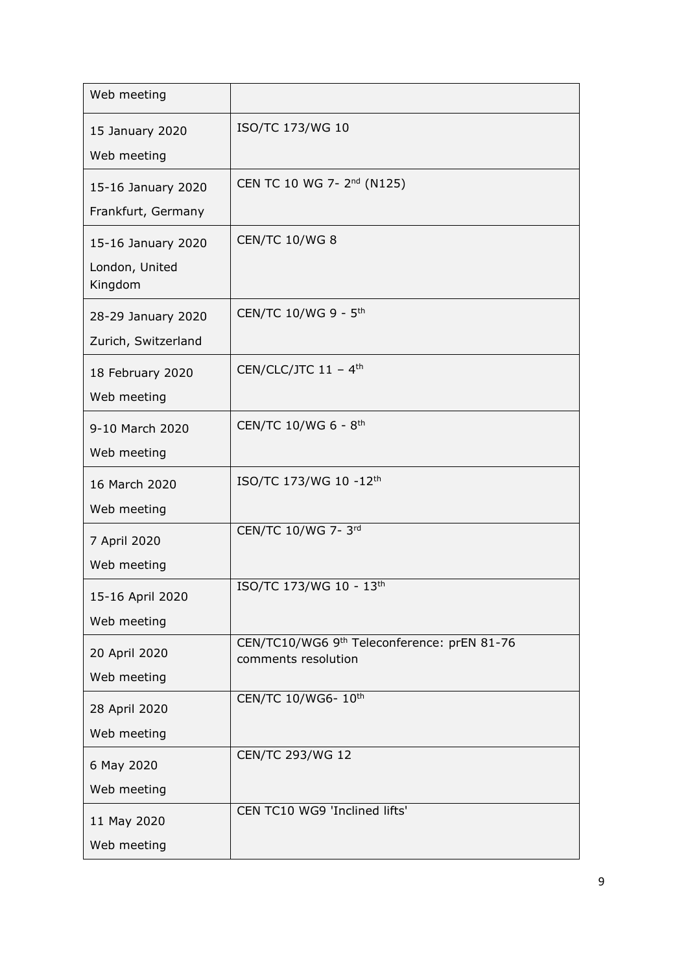| Web meeting                                     |                                                                    |
|-------------------------------------------------|--------------------------------------------------------------------|
| 15 January 2020<br>Web meeting                  | ISO/TC 173/WG 10                                                   |
| 15-16 January 2020<br>Frankfurt, Germany        | CEN TC 10 WG 7- 2 <sup>nd</sup> (N125)                             |
| 15-16 January 2020<br>London, United<br>Kingdom | <b>CEN/TC 10/WG 8</b>                                              |
| 28-29 January 2020<br>Zurich, Switzerland       | CEN/TC 10/WG 9 - 5 <sup>th</sup>                                   |
| 18 February 2020<br>Web meeting                 | CEN/CLC/JTC $11 - 4$ <sup>th</sup>                                 |
| 9-10 March 2020<br>Web meeting                  | CEN/TC 10/WG 6 - 8 <sup>th</sup>                                   |
| 16 March 2020<br>Web meeting                    | ISO/TC 173/WG 10 -12th                                             |
| 7 April 2020<br>Web meeting                     | CEN/TC 10/WG 7-3rd                                                 |
| 15-16 April 2020<br>Web meeting                 | ISO/TC 173/WG 10 - 13th                                            |
| 20 April 2020<br>Web meeting                    | CEN/TC10/WG6 9th Teleconference: prEN 81-76<br>comments resolution |
| 28 April 2020<br>Web meeting                    | CEN/TC 10/WG6-10th                                                 |
| 6 May 2020<br>Web meeting                       | <b>CEN/TC 293/WG 12</b>                                            |
| 11 May 2020<br>Web meeting                      | CEN TC10 WG9 'Inclined lifts'                                      |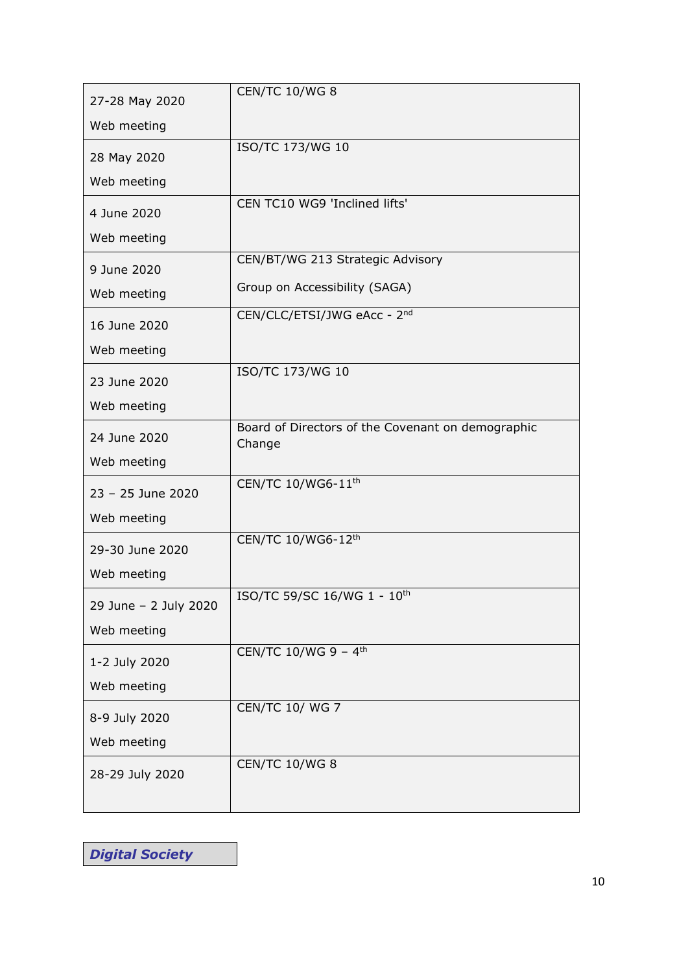| 27-28 May 2020              | <b>CEN/TC 10/WG 8</b>                             |
|-----------------------------|---------------------------------------------------|
| Web meeting                 |                                                   |
| 28 May 2020                 | ISO/TC 173/WG 10                                  |
| Web meeting                 |                                                   |
| 4 June 2020                 | CEN TC10 WG9 'Inclined lifts'                     |
| Web meeting                 |                                                   |
| 9 June 2020                 | CEN/BT/WG 213 Strategic Advisory                  |
| Web meeting                 | Group on Accessibility (SAGA)                     |
| 16 June 2020                | CEN/CLC/ETSI/JWG eAcc - 2nd                       |
| Web meeting                 |                                                   |
|                             | ISO/TC 173/WG 10                                  |
| 23 June 2020<br>Web meeting |                                                   |
|                             | Board of Directors of the Covenant on demographic |
| 24 June 2020                | Change                                            |
| Web meeting                 |                                                   |
| 23 - 25 June 2020           | CEN/TC 10/WG6-11 <sup>th</sup>                    |
| Web meeting                 |                                                   |
| 29-30 June 2020             | CEN/TC 10/WG6-12th                                |
| Web meeting                 |                                                   |
| 29 June - 2 July 2020       | ISO/TC 59/SC 16/WG 1 - 10th                       |
| Web meeting                 |                                                   |
|                             | CEN/TC 10/WG 9 - 4 <sup>th</sup>                  |
| 1-2 July 2020               |                                                   |
| Web meeting                 | <b>CEN/TC 10/ WG 7</b>                            |
| 8-9 July 2020               |                                                   |
| Web meeting                 |                                                   |
| 28-29 July 2020             | <b>CEN/TC 10/WG 8</b>                             |
|                             |                                                   |

*Digital Society*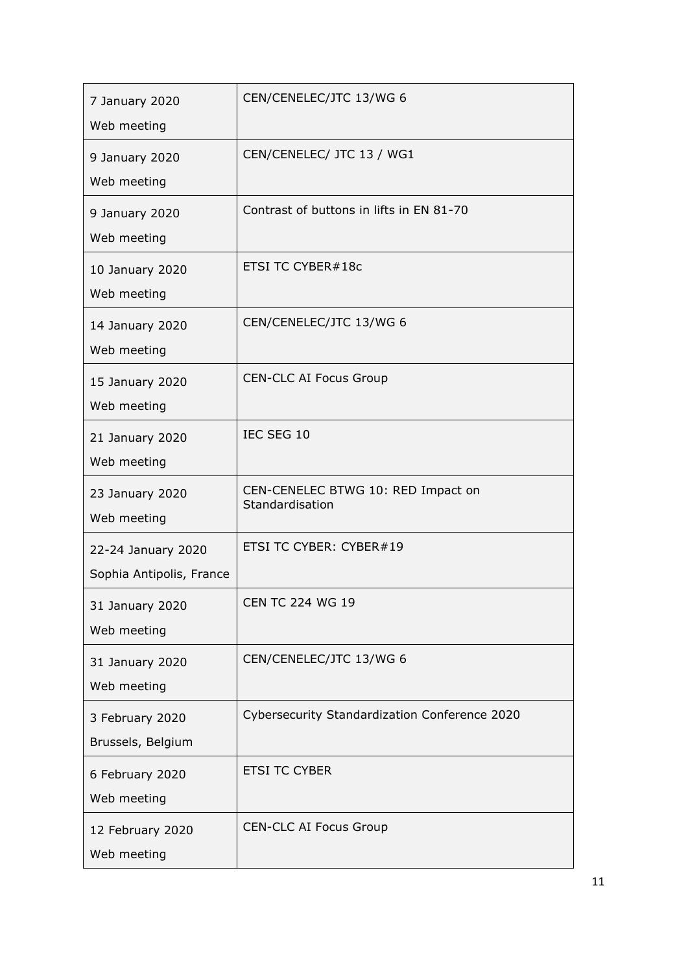| 7 January 2020<br>Web meeting                  | CEN/CENELEC/JTC 13/WG 6                               |
|------------------------------------------------|-------------------------------------------------------|
| 9 January 2020<br>Web meeting                  | CEN/CENELEC/ JTC 13 / WG1                             |
| 9 January 2020<br>Web meeting                  | Contrast of buttons in lifts in EN 81-70              |
| 10 January 2020<br>Web meeting                 | ETSI TC CYBER#18c                                     |
| 14 January 2020<br>Web meeting                 | CEN/CENELEC/JTC 13/WG 6                               |
| 15 January 2020<br>Web meeting                 | <b>CEN-CLC AI Focus Group</b>                         |
| 21 January 2020<br>Web meeting                 | IEC SEG 10                                            |
| 23 January 2020<br>Web meeting                 | CEN-CENELEC BTWG 10: RED Impact on<br>Standardisation |
| 22-24 January 2020<br>Sophia Antipolis, France | ETSI TC CYBER: CYBER#19                               |
| 31 January 2020<br>Web meeting                 | <b>CEN TC 224 WG 19</b>                               |
| 31 January 2020<br>Web meeting                 | CEN/CENELEC/JTC 13/WG 6                               |
| 3 February 2020<br>Brussels, Belgium           | Cybersecurity Standardization Conference 2020         |
| 6 February 2020<br>Web meeting                 | <b>ETSI TC CYBER</b>                                  |
| 12 February 2020<br>Web meeting                | <b>CEN-CLC AI Focus Group</b>                         |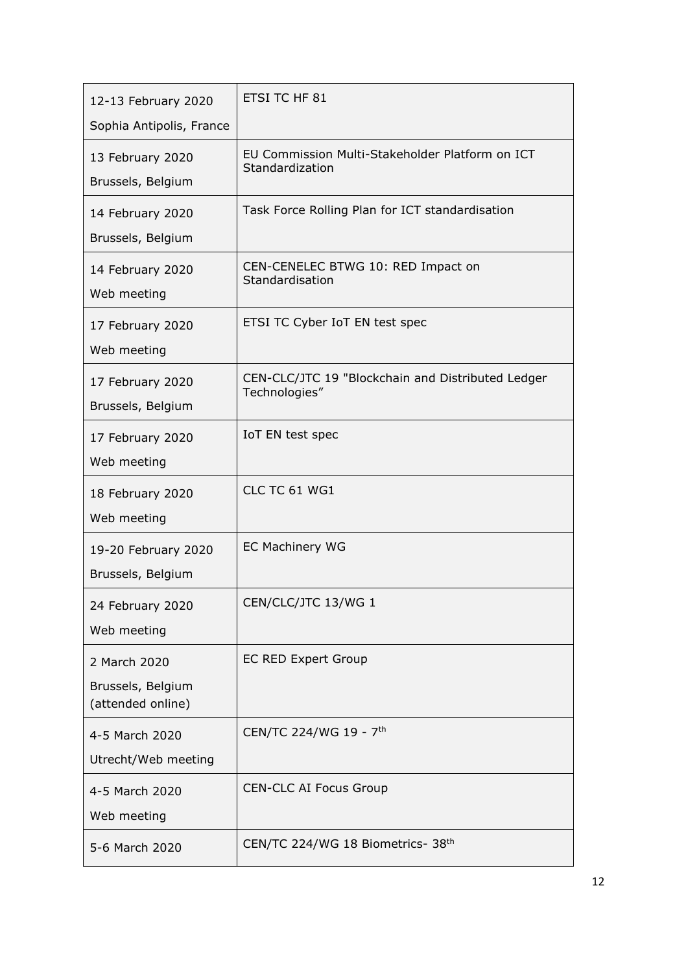| 12-13 February 2020<br>Sophia Antipolis, France        | ETSI TC HF 81                                                      |
|--------------------------------------------------------|--------------------------------------------------------------------|
| 13 February 2020<br>Brussels, Belgium                  | EU Commission Multi-Stakeholder Platform on ICT<br>Standardization |
| 14 February 2020<br>Brussels, Belgium                  | Task Force Rolling Plan for ICT standardisation                    |
| 14 February 2020<br>Web meeting                        | CEN-CENELEC BTWG 10: RED Impact on<br>Standardisation              |
| 17 February 2020<br>Web meeting                        | ETSI TC Cyber IoT EN test spec                                     |
| 17 February 2020<br>Brussels, Belgium                  | CEN-CLC/JTC 19 "Blockchain and Distributed Ledger<br>Technologies" |
| 17 February 2020<br>Web meeting                        | IoT EN test spec                                                   |
| 18 February 2020<br>Web meeting                        | CLC TC 61 WG1                                                      |
| 19-20 February 2020<br>Brussels, Belgium               | <b>EC Machinery WG</b>                                             |
| 24 February 2020<br>Web meeting                        | CEN/CLC/JTC 13/WG 1                                                |
| 2 March 2020<br>Brussels, Belgium<br>(attended online) | <b>EC RED Expert Group</b>                                         |
| 4-5 March 2020<br>Utrecht/Web meeting                  | CEN/TC 224/WG 19 - 7 <sup>th</sup>                                 |
| 4-5 March 2020<br>Web meeting                          | <b>CEN-CLC AI Focus Group</b>                                      |
| 5-6 March 2020                                         | CEN/TC 224/WG 18 Biometrics- 38th                                  |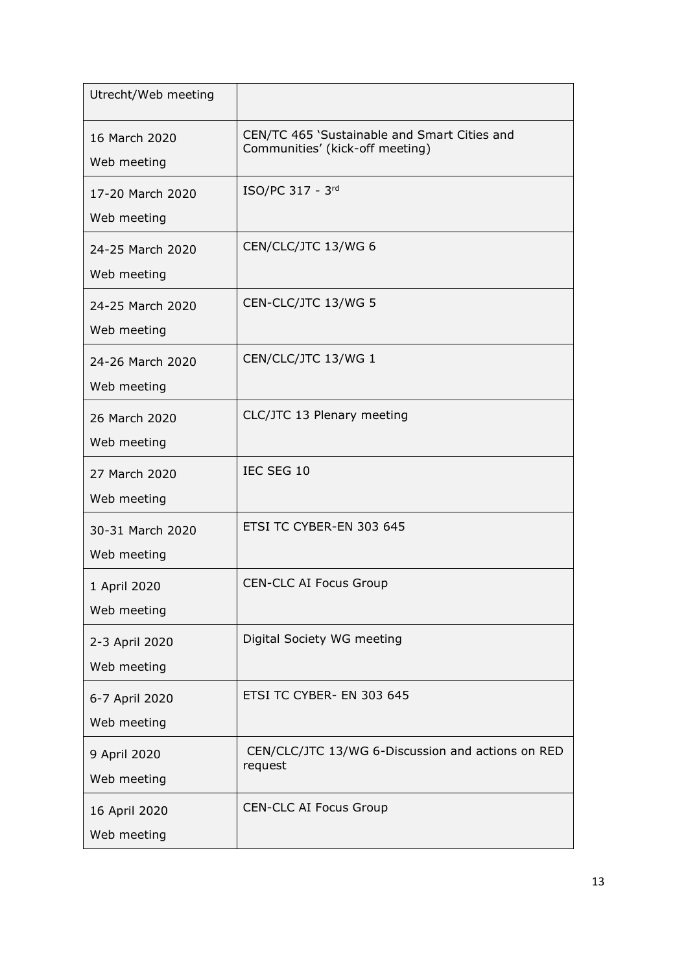| Utrecht/Web meeting             |                                                                                 |
|---------------------------------|---------------------------------------------------------------------------------|
| 16 March 2020<br>Web meeting    | CEN/TC 465 'Sustainable and Smart Cities and<br>Communities' (kick-off meeting) |
| 17-20 March 2020<br>Web meeting | ISO/PC 317 - 3rd                                                                |
| 24-25 March 2020<br>Web meeting | CEN/CLC/JTC 13/WG 6                                                             |
| 24-25 March 2020<br>Web meeting | CEN-CLC/JTC 13/WG 5                                                             |
| 24-26 March 2020<br>Web meeting | CEN/CLC/JTC 13/WG 1                                                             |
| 26 March 2020<br>Web meeting    | CLC/JTC 13 Plenary meeting                                                      |
| 27 March 2020<br>Web meeting    | IEC SEG 10                                                                      |
| 30-31 March 2020<br>Web meeting | ETSI TC CYBER-EN 303 645                                                        |
| 1 April 2020<br>Web meeting     | <b>CEN-CLC AI Focus Group</b>                                                   |
| 2-3 April 2020<br>Web meeting   | Digital Society WG meeting                                                      |
| 6-7 April 2020<br>Web meeting   | ETSI TC CYBER- EN 303 645                                                       |
| 9 April 2020<br>Web meeting     | CEN/CLC/JTC 13/WG 6-Discussion and actions on RED<br>request                    |
| 16 April 2020<br>Web meeting    | <b>CEN-CLC AI Focus Group</b>                                                   |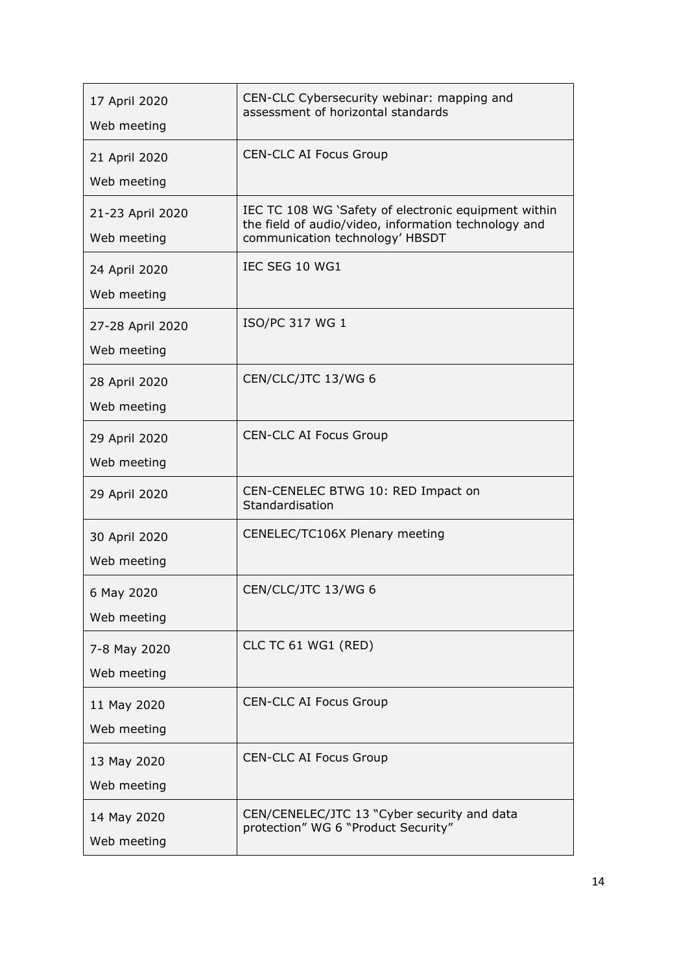| 17 April 2020<br>Web meeting    | CEN-CLC Cybersecurity webinar: mapping and<br>assessment of horizontal standards                                                                |
|---------------------------------|-------------------------------------------------------------------------------------------------------------------------------------------------|
| 21 April 2020<br>Web meeting    | <b>CEN-CLC AI Focus Group</b>                                                                                                                   |
| 21-23 April 2020<br>Web meeting | IEC TC 108 WG 'Safety of electronic equipment within<br>the field of audio/video, information technology and<br>communication technology' HBSDT |
| 24 April 2020<br>Web meeting    | IEC SEG 10 WG1                                                                                                                                  |
| 27-28 April 2020<br>Web meeting | ISO/PC 317 WG 1                                                                                                                                 |
| 28 April 2020<br>Web meeting    | CEN/CLC/JTC 13/WG 6                                                                                                                             |
| 29 April 2020<br>Web meeting    | <b>CEN-CLC AI Focus Group</b>                                                                                                                   |
| 29 April 2020                   | CEN-CENELEC BTWG 10: RED Impact on<br>Standardisation                                                                                           |
| 30 April 2020<br>Web meeting    | CENELEC/TC106X Plenary meeting                                                                                                                  |
| 6 May 2020<br>Web meeting       | CEN/CLC/JTC 13/WG 6                                                                                                                             |
| 7-8 May 2020<br>Web meeting     | CLC TC 61 WG1 (RED)                                                                                                                             |
| 11 May 2020<br>Web meeting      | <b>CEN-CLC AI Focus Group</b>                                                                                                                   |
| 13 May 2020<br>Web meeting      | <b>CEN-CLC AI Focus Group</b>                                                                                                                   |
| 14 May 2020<br>Web meeting      | CEN/CENELEC/JTC 13 "Cyber security and data<br>protection" WG 6 "Product Security"                                                              |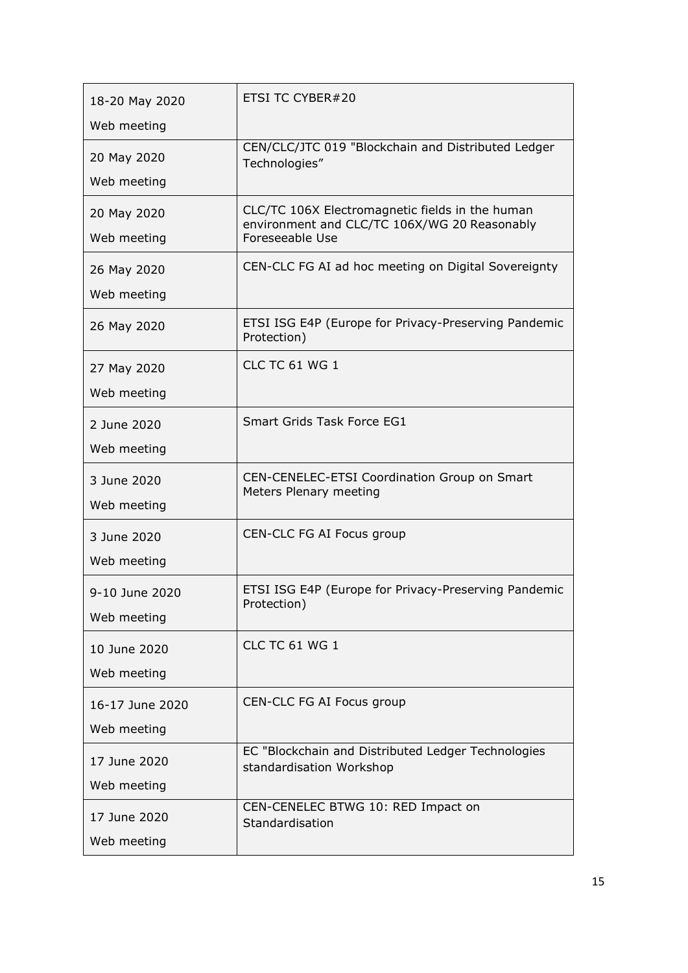| 18-20 May 2020             | ETSI TC CYBER#20                                                                                                   |
|----------------------------|--------------------------------------------------------------------------------------------------------------------|
| Web meeting                |                                                                                                                    |
| 20 May 2020                | CEN/CLC/JTC 019 "Blockchain and Distributed Ledger<br>Technologies"                                                |
| Web meeting                |                                                                                                                    |
| 20 May 2020<br>Web meeting | CLC/TC 106X Electromagnetic fields in the human<br>environment and CLC/TC 106X/WG 20 Reasonably<br>Foreseeable Use |
|                            |                                                                                                                    |
| 26 May 2020                | CEN-CLC FG AI ad hoc meeting on Digital Sovereignty                                                                |
| Web meeting                |                                                                                                                    |
| 26 May 2020                | ETSI ISG E4P (Europe for Privacy-Preserving Pandemic<br>Protection)                                                |
| 27 May 2020                | <b>CLC TC 61 WG 1</b>                                                                                              |
| Web meeting                |                                                                                                                    |
|                            | Smart Grids Task Force EG1                                                                                         |
| 2 June 2020                |                                                                                                                    |
| Web meeting                |                                                                                                                    |
| 3 June 2020                | CEN-CENELEC-ETSI Coordination Group on Smart<br>Meters Plenary meeting                                             |
| Web meeting                |                                                                                                                    |
| 3 June 2020                | CEN-CLC FG AI Focus group                                                                                          |
| Web meeting                |                                                                                                                    |
|                            | ETSI ISG E4P (Europe for Privacy-Preserving Pandemic                                                               |
| 9-10 June 2020             | Protection)                                                                                                        |
| Web meeting                |                                                                                                                    |
| 10 June 2020               | <b>CLC TC 61 WG 1</b>                                                                                              |
| Web meeting                |                                                                                                                    |
| 16-17 June 2020            | CEN-CLC FG AI Focus group                                                                                          |
| Web meeting                |                                                                                                                    |
| 17 June 2020               | EC "Blockchain and Distributed Ledger Technologies                                                                 |
|                            | standardisation Workshop                                                                                           |
| Web meeting                |                                                                                                                    |
| 17 June 2020               | CEN-CENELEC BTWG 10: RED Impact on<br>Standardisation                                                              |
| Web meeting                |                                                                                                                    |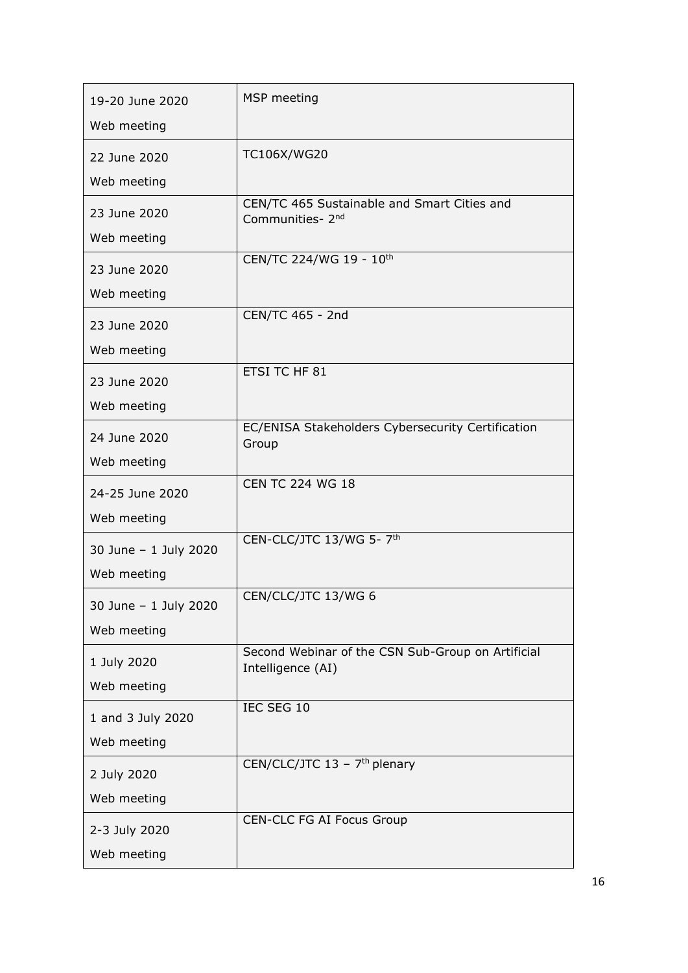| 19-20 June 2020       | MSP meeting                                                     |
|-----------------------|-----------------------------------------------------------------|
| Web meeting           |                                                                 |
| 22 June 2020          | TC106X/WG20                                                     |
| Web meeting           |                                                                 |
| 23 June 2020          | CEN/TC 465 Sustainable and Smart Cities and<br>Communities- 2nd |
| Web meeting           |                                                                 |
| 23 June 2020          | CEN/TC 224/WG 19 - 10th                                         |
| Web meeting           |                                                                 |
| 23 June 2020          | CEN/TC 465 - 2nd                                                |
| Web meeting           |                                                                 |
| 23 June 2020          | ETSI TC HF 81                                                   |
| Web meeting           |                                                                 |
| 24 June 2020          | EC/ENISA Stakeholders Cybersecurity Certification<br>Group      |
| Web meeting           |                                                                 |
| 24-25 June 2020       | <b>CEN TC 224 WG 18</b>                                         |
| Web meeting           |                                                                 |
| 30 June - 1 July 2020 | CEN-CLC/JTC 13/WG 5- 7 <sup>th</sup>                            |
| Web meeting           |                                                                 |
| 30 June - 1 July 2020 | CEN/CLC/JTC 13/WG 6                                             |
| Web meeting           |                                                                 |
| 1 July 2020           | Second Webinar of the CSN Sub-Group on Artificial               |
| Web meeting           | Intelligence (AI)                                               |
| 1 and 3 July 2020     | IEC SEG 10                                                      |
| Web meeting           |                                                                 |
| 2 July 2020           | CEN/CLC/JTC 13 - 7 <sup>th</sup> plenary                        |
| Web meeting           |                                                                 |
| 2-3 July 2020         | CEN-CLC FG AI Focus Group                                       |
| Web meeting           |                                                                 |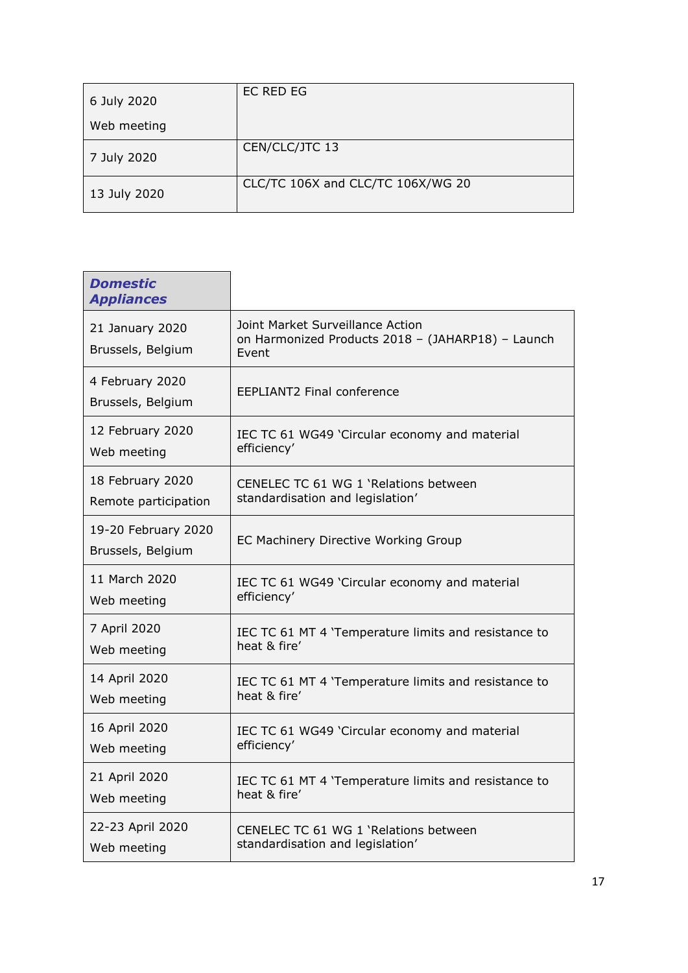| 6 July 2020  | EC RED EG                         |
|--------------|-----------------------------------|
| Web meeting  |                                   |
| 7 July 2020  | CEN/CLC/JTC 13                    |
| 13 July 2020 | CLC/TC 106X and CLC/TC 106X/WG 20 |

٦

| <b>Domestic</b><br><b>Appliances</b>     |                                                                                                |
|------------------------------------------|------------------------------------------------------------------------------------------------|
| 21 January 2020<br>Brussels, Belgium     | Joint Market Surveillance Action<br>on Harmonized Products 2018 - (JAHARP18) - Launch<br>Event |
| 4 February 2020<br>Brussels, Belgium     | <b>EEPLIANT2 Final conference</b>                                                              |
| 12 February 2020                         | IEC TC 61 WG49 'Circular economy and material                                                  |
| Web meeting                              | efficiency'                                                                                    |
| 18 February 2020                         | CENELEC TC 61 WG 1 'Relations between                                                          |
| Remote participation                     | standardisation and legislation'                                                               |
| 19-20 February 2020<br>Brussels, Belgium | EC Machinery Directive Working Group                                                           |
| 11 March 2020                            | IEC TC 61 WG49 'Circular economy and material                                                  |
| Web meeting                              | efficiency'                                                                                    |
| 7 April 2020                             | IEC TC 61 MT 4 'Temperature limits and resistance to                                           |
| Web meeting                              | heat & fire'                                                                                   |
| 14 April 2020                            | IEC TC 61 MT 4 'Temperature limits and resistance to                                           |
| Web meeting                              | heat & fire'                                                                                   |
| 16 April 2020                            | IEC TC 61 WG49 'Circular economy and material                                                  |
| Web meeting                              | efficiency'                                                                                    |
| 21 April 2020                            | IEC TC 61 MT 4 'Temperature limits and resistance to                                           |
| Web meeting                              | heat & fire'                                                                                   |
| 22-23 April 2020                         | CENELEC TC 61 WG 1 'Relations between                                                          |
| Web meeting                              | standardisation and legislation'                                                               |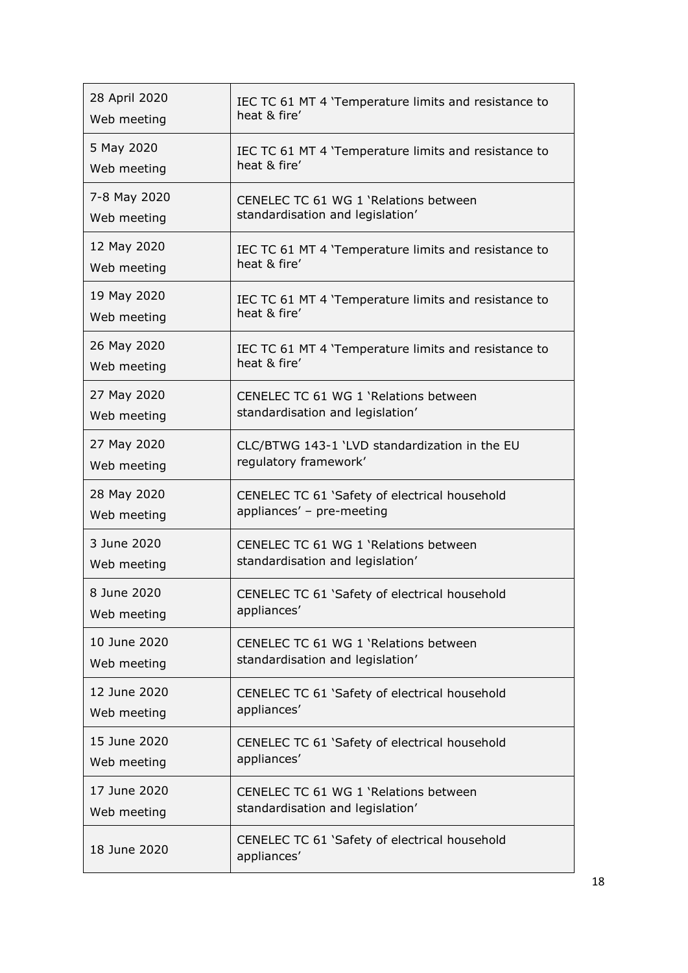| 28 April 2020 | IEC TC 61 MT 4 'Temperature limits and resistance to |
|---------------|------------------------------------------------------|
| Web meeting   | heat & fire'                                         |
| 5 May 2020    | IEC TC 61 MT 4 'Temperature limits and resistance to |
| Web meeting   | heat & fire'                                         |
| 7-8 May 2020  | CENELEC TC 61 WG 1 'Relations between                |
| Web meeting   | standardisation and legislation'                     |
| 12 May 2020   | IEC TC 61 MT 4 'Temperature limits and resistance to |
| Web meeting   | heat & fire'                                         |
| 19 May 2020   | IEC TC 61 MT 4 'Temperature limits and resistance to |
| Web meeting   | heat & fire'                                         |
| 26 May 2020   | IEC TC 61 MT 4 'Temperature limits and resistance to |
| Web meeting   | heat & fire'                                         |
| 27 May 2020   | CENELEC TC 61 WG 1 'Relations between                |
| Web meeting   | standardisation and legislation'                     |
| 27 May 2020   | CLC/BTWG 143-1 'LVD standardization in the EU        |
| Web meeting   | regulatory framework'                                |
| 28 May 2020   | CENELEC TC 61 'Safety of electrical household        |
| Web meeting   | appliances' - pre-meeting                            |
| 3 June 2020   | CENELEC TC 61 WG 1 'Relations between                |
| Web meeting   | standardisation and legislation'                     |
| 8 June 2020   | CENELEC TC 61 'Safety of electrical household        |
| Web meeting   | appliances'                                          |
| 10 June 2020  | CENELEC TC 61 WG 1 'Relations between                |
| Web meeting   | standardisation and legislation'                     |
| 12 June 2020  | CENELEC TC 61 'Safety of electrical household        |
| Web meeting   | appliances'                                          |
| 15 June 2020  | CENELEC TC 61 'Safety of electrical household        |
| Web meeting   | appliances'                                          |
|               |                                                      |
| 17 June 2020  | CENELEC TC 61 WG 1 'Relations between                |
| Web meeting   | standardisation and legislation'                     |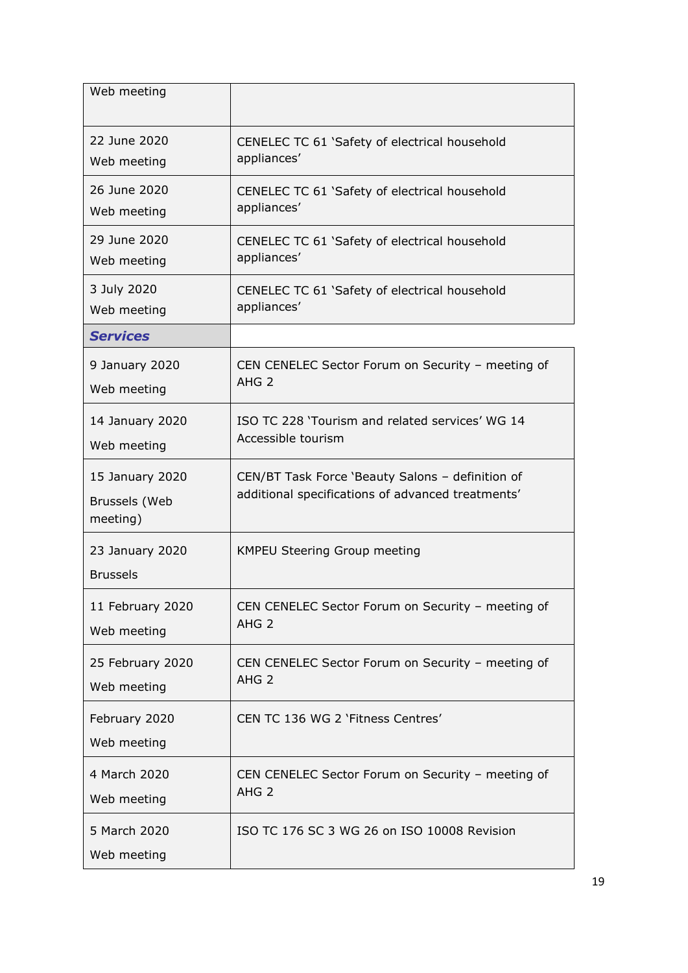| Web meeting                                  |                                                                                                       |
|----------------------------------------------|-------------------------------------------------------------------------------------------------------|
| 22 June 2020                                 | CENELEC TC 61 'Safety of electrical household                                                         |
| Web meeting                                  | appliances'                                                                                           |
| 26 June 2020                                 | CENELEC TC 61 'Safety of electrical household                                                         |
| Web meeting                                  | appliances'                                                                                           |
| 29 June 2020                                 | CENELEC TC 61 'Safety of electrical household                                                         |
| Web meeting                                  | appliances'                                                                                           |
| 3 July 2020                                  | CENELEC TC 61 'Safety of electrical household                                                         |
| Web meeting                                  | appliances'                                                                                           |
| <b>Services</b>                              |                                                                                                       |
| 9 January 2020                               | CEN CENELEC Sector Forum on Security - meeting of                                                     |
| Web meeting                                  | AHG <sub>2</sub>                                                                                      |
| 14 January 2020                              | ISO TC 228 'Tourism and related services' WG 14                                                       |
| Web meeting                                  | Accessible tourism                                                                                    |
| 15 January 2020<br>Brussels (Web<br>meeting) | CEN/BT Task Force 'Beauty Salons - definition of<br>additional specifications of advanced treatments' |
| 23 January 2020<br><b>Brussels</b>           | <b>KMPEU Steering Group meeting</b>                                                                   |
| 11 February 2020                             | CEN CENELEC Sector Forum on Security - meeting of                                                     |
| Web meeting                                  | AHG <sub>2</sub>                                                                                      |
| 25 February 2020                             | CEN CENELEC Sector Forum on Security - meeting of                                                     |
| Web meeting                                  | AHG <sub>2</sub>                                                                                      |
| February 2020<br>Web meeting                 | CEN TC 136 WG 2 'Fitness Centres'                                                                     |
| 4 March 2020                                 | CEN CENELEC Sector Forum on Security - meeting of                                                     |
| Web meeting                                  | AHG <sub>2</sub>                                                                                      |
| 5 March 2020<br>Web meeting                  | ISO TC 176 SC 3 WG 26 on ISO 10008 Revision                                                           |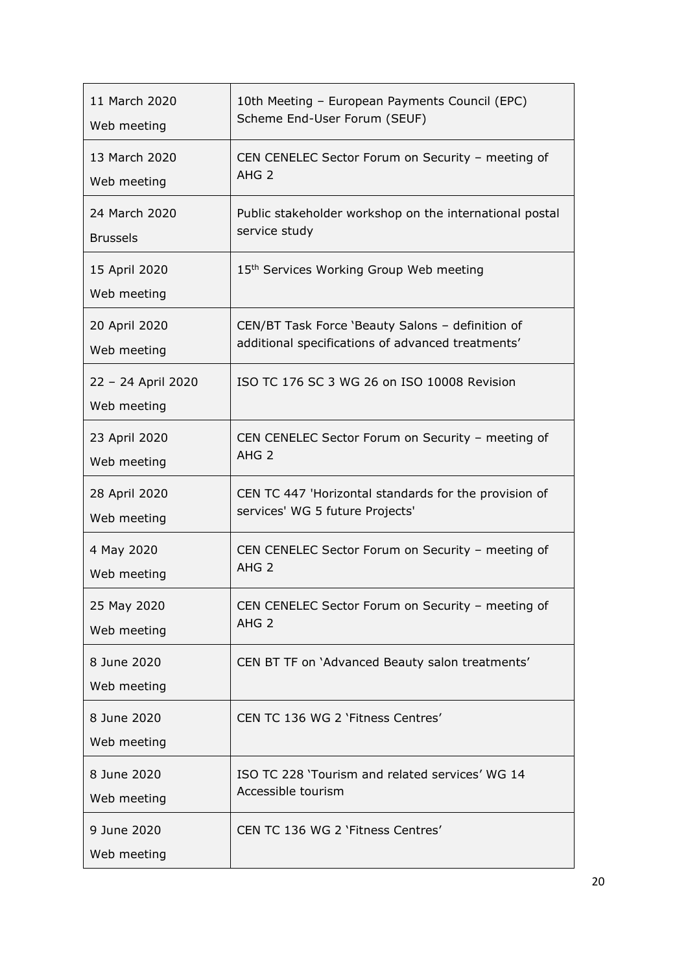| 11 March 2020                     | 10th Meeting - European Payments Council (EPC)          |
|-----------------------------------|---------------------------------------------------------|
| Web meeting                       | Scheme End-User Forum (SEUF)                            |
| 13 March 2020                     | CEN CENELEC Sector Forum on Security - meeting of       |
| Web meeting                       | AHG <sub>2</sub>                                        |
| 24 March 2020                     | Public stakeholder workshop on the international postal |
| <b>Brussels</b>                   | service study                                           |
| 15 April 2020<br>Web meeting      | 15 <sup>th</sup> Services Working Group Web meeting     |
| 20 April 2020                     | CEN/BT Task Force 'Beauty Salons - definition of        |
| Web meeting                       | additional specifications of advanced treatments'       |
| 22 - 24 April 2020<br>Web meeting | ISO TC 176 SC 3 WG 26 on ISO 10008 Revision             |
| 23 April 2020                     | CEN CENELEC Sector Forum on Security - meeting of       |
| Web meeting                       | AHG <sub>2</sub>                                        |
| 28 April 2020                     | CEN TC 447 'Horizontal standards for the provision of   |
| Web meeting                       | services' WG 5 future Projects'                         |
| 4 May 2020                        | CEN CENELEC Sector Forum on Security - meeting of       |
| Web meeting                       | AHG <sub>2</sub>                                        |
| 25 May 2020                       | CEN CENELEC Sector Forum on Security - meeting of       |
| Web meeting                       | AHG <sub>2</sub>                                        |
| 8 June 2020<br>Web meeting        | CEN BT TF on 'Advanced Beauty salon treatments'         |
| 8 June 2020<br>Web meeting        | CEN TC 136 WG 2 'Fitness Centres'                       |
| 8 June 2020                       | ISO TC 228 'Tourism and related services' WG 14         |
| Web meeting                       | Accessible tourism                                      |
| 9 June 2020<br>Web meeting        | CEN TC 136 WG 2 'Fitness Centres'                       |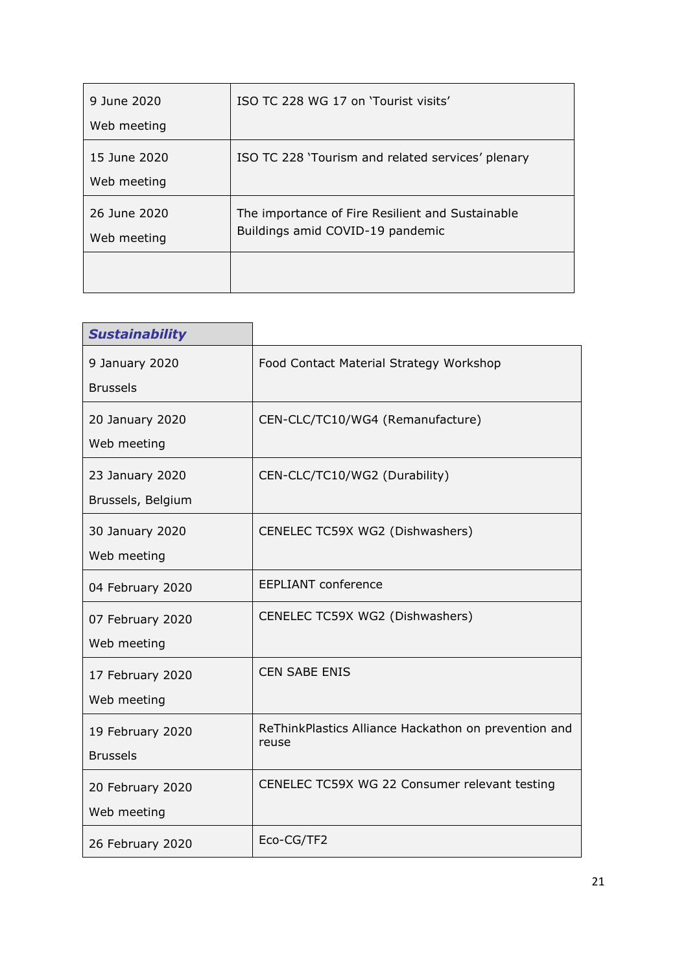| 9 June 2020                 | ISO TC 228 WG 17 on 'Tourist visits'                                                 |
|-----------------------------|--------------------------------------------------------------------------------------|
| Web meeting                 |                                                                                      |
| 15 June 2020<br>Web meeting | ISO TC 228 'Tourism and related services' plenary                                    |
| 26 June 2020<br>Web meeting | The importance of Fire Resilient and Sustainable<br>Buildings amid COVID-19 pandemic |
|                             |                                                                                      |

| <b>Sustainability</b>                |                                                               |
|--------------------------------------|---------------------------------------------------------------|
| 9 January 2020<br><b>Brussels</b>    | Food Contact Material Strategy Workshop                       |
| 20 January 2020<br>Web meeting       | CEN-CLC/TC10/WG4 (Remanufacture)                              |
| 23 January 2020<br>Brussels, Belgium | CEN-CLC/TC10/WG2 (Durability)                                 |
| 30 January 2020<br>Web meeting       | CENELEC TC59X WG2 (Dishwashers)                               |
| 04 February 2020                     | <b>EEPLIANT conference</b>                                    |
| 07 February 2020<br>Web meeting      | CENELEC TC59X WG2 (Dishwashers)                               |
| 17 February 2020<br>Web meeting      | <b>CEN SABE ENIS</b>                                          |
| 19 February 2020<br><b>Brussels</b>  | ReThinkPlastics Alliance Hackathon on prevention and<br>reuse |
| 20 February 2020<br>Web meeting      | CENELEC TC59X WG 22 Consumer relevant testing                 |
| 26 February 2020                     | Eco-CG/TF2                                                    |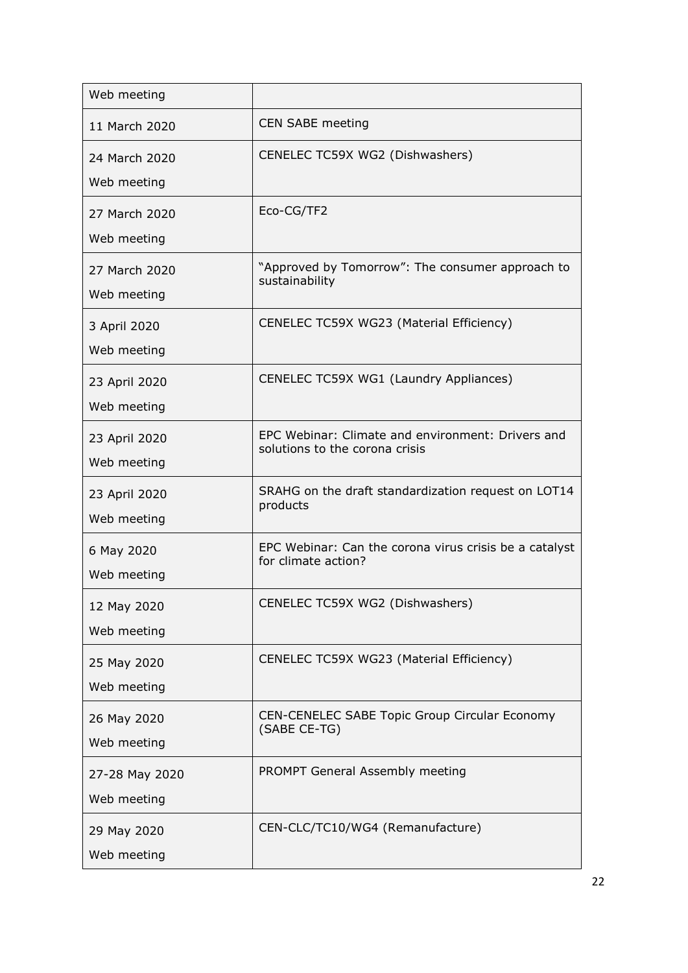| Web meeting                   |                                                                                     |
|-------------------------------|-------------------------------------------------------------------------------------|
| 11 March 2020                 | CEN SABE meeting                                                                    |
| 24 March 2020<br>Web meeting  | CENELEC TC59X WG2 (Dishwashers)                                                     |
| 27 March 2020<br>Web meeting  | Eco-CG/TF2                                                                          |
| 27 March 2020<br>Web meeting  | "Approved by Tomorrow": The consumer approach to<br>sustainability                  |
| 3 April 2020<br>Web meeting   | CENELEC TC59X WG23 (Material Efficiency)                                            |
| 23 April 2020<br>Web meeting  | CENELEC TC59X WG1 (Laundry Appliances)                                              |
| 23 April 2020<br>Web meeting  | EPC Webinar: Climate and environment: Drivers and<br>solutions to the corona crisis |
| 23 April 2020<br>Web meeting  | SRAHG on the draft standardization request on LOT14<br>products                     |
| 6 May 2020<br>Web meeting     | EPC Webinar: Can the corona virus crisis be a catalyst<br>for climate action?       |
| 12 May 2020<br>Web meeting    | CENELEC TC59X WG2 (Dishwashers)                                                     |
| 25 May 2020<br>Web meeting    | CENELEC TC59X WG23 (Material Efficiency)                                            |
| 26 May 2020<br>Web meeting    | CEN-CENELEC SABE Topic Group Circular Economy<br>(SABE CE-TG)                       |
| 27-28 May 2020<br>Web meeting | PROMPT General Assembly meeting                                                     |
| 29 May 2020<br>Web meeting    | CEN-CLC/TC10/WG4 (Remanufacture)                                                    |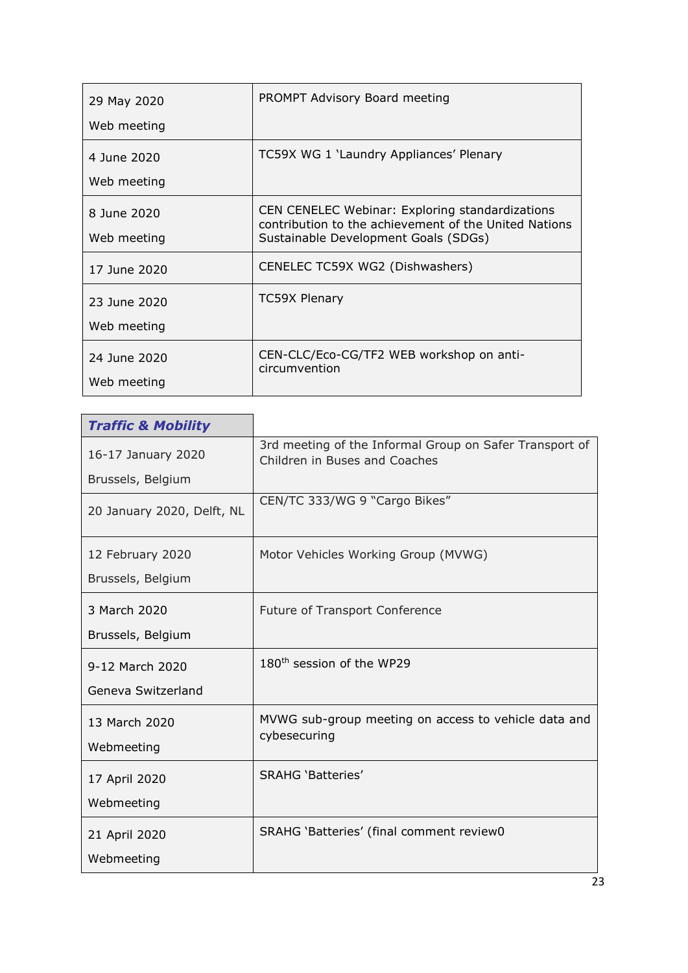| 29 May 2020  | PROMPT Advisory Board meeting                                                                            |
|--------------|----------------------------------------------------------------------------------------------------------|
| Web meeting  |                                                                                                          |
| 4 June 2020  | TC59X WG 1 'Laundry Appliances' Plenary                                                                  |
| Web meeting  |                                                                                                          |
| 8 June 2020  | CEN CENELEC Webinar: Exploring standardizations<br>contribution to the achievement of the United Nations |
| Web meeting  | Sustainable Development Goals (SDGs)                                                                     |
| 17 June 2020 | CENELEC TC59X WG2 (Dishwashers)                                                                          |
| 23 June 2020 | <b>TC59X Plenary</b>                                                                                     |
| Web meeting  |                                                                                                          |
| 24 June 2020 | CEN-CLC/Eco-CG/TF2 WEB workshop on anti-<br>circumvention                                                |
| Web meeting  |                                                                                                          |
|              |                                                                                                          |

| <b>Traffic &amp; Mobility</b> |                                                                                          |
|-------------------------------|------------------------------------------------------------------------------------------|
| 16-17 January 2020            | 3rd meeting of the Informal Group on Safer Transport of<br>Children in Buses and Coaches |
| Brussels, Belgium             |                                                                                          |
| 20 January 2020, Delft, NL    | CEN/TC 333/WG 9 "Cargo Bikes"                                                            |
| 12 February 2020              | Motor Vehicles Working Group (MVWG)                                                      |
| Brussels, Belgium             |                                                                                          |
| 3 March 2020                  | <b>Future of Transport Conference</b>                                                    |
| Brussels, Belgium             |                                                                                          |
| 9-12 March 2020               | 180 <sup>th</sup> session of the WP29                                                    |
| Geneva Switzerland            |                                                                                          |
| 13 March 2020                 | MVWG sub-group meeting on access to vehicle data and                                     |
| Webmeeting                    | cybesecuring                                                                             |
| 17 April 2020                 | <b>SRAHG 'Batteries'</b>                                                                 |
| Webmeeting                    |                                                                                          |
| 21 April 2020                 | SRAHG 'Batteries' (final comment review0                                                 |
| Webmeeting                    |                                                                                          |